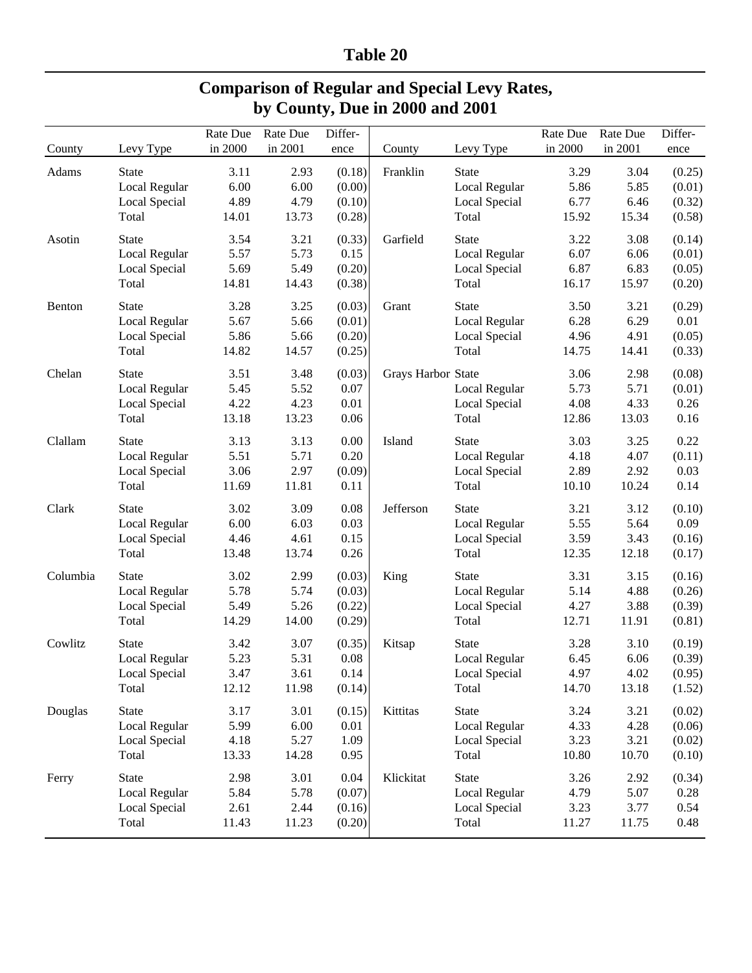## **Table 20**

| <b>Comparison of Regular and Special Levy Rates,</b> |  |
|------------------------------------------------------|--|
| by County, Due in 2000 and 2001                      |  |

| in 2000<br>in 2001<br>in 2000<br>in 2001<br>Levy Type<br>Levy Type<br>County<br>County<br>ence<br>ence<br>Adams<br>2.93<br>(0.18)<br>Franklin<br>3.29<br>3.04<br><b>State</b><br>3.11<br><b>State</b><br>6.00<br>Local Regular<br>6.00<br>(0.00)<br>5.86<br>5.85<br>Local Regular<br>4.89<br>4.79<br>(0.10)<br>6.77<br>6.46<br>Local Special<br>Local Special<br>14.01<br>13.73<br>(0.28)<br>15.92<br>15.34<br>Total<br>Total<br>3.54<br>3.21<br>(0.33)<br>Garfield<br><b>State</b><br>3.22<br>3.08<br><b>State</b><br>Asotin<br>5.73<br>Local Regular<br>5.57<br>0.15<br>6.07<br>6.06<br>Local Regular<br>5.49<br>6.83<br>Local Special<br>5.69<br>(0.20)<br>Local Special<br>6.87<br>(0.05)<br>14.81<br>(0.38)<br>16.17<br>15.97<br>Total<br>14.43<br>Total<br>(0.20)<br>3.25<br>(0.03)<br>3.50<br><b>State</b><br>3.28<br>Grant<br><b>State</b><br>3.21<br>(0.29)<br>Benton<br>5.67<br>0.01<br>5.66<br>(0.01)<br>6.28<br>6.29<br>Local Regular<br>Local Regular<br>5.86<br>5.66<br>(0.20)<br>4.96<br>4.91<br>(0.05)<br>Local Special<br>Local Special<br>14.82<br>14.57<br>(0.25)<br>Total<br>14.75<br>Total<br>14.41<br>(0.33)<br>3.51<br>3.48<br>(0.03)<br>Grays Harbor State<br>Chelan<br><b>State</b><br>3.06<br>2.98<br>(0.08)<br>5.45<br>5.52<br>0.07<br>5.73<br>5.71<br>(0.01)<br>Local Regular<br>Local Regular<br>4.22<br>4.23<br>4.08<br>Local Special<br>0.01<br>Local Special<br>4.33<br>0.26<br>13.18<br>13.23<br>0.06<br>13.03<br>0.16<br>Total<br>Total<br>12.86<br>Clallam<br>3.13<br>3.13<br>0.00<br><b>State</b><br>3.03<br>3.25<br>0.22<br><b>State</b><br>Island<br>5.71<br>5.51<br>0.20<br>4.18<br>4.07<br>(0.11)<br>Local Regular<br>Local Regular<br>3.06<br>2.97<br>(0.09)<br>2.89<br>2.92<br>0.03<br>Local Special<br>Local Special<br>11.81<br>10.24<br>0.14<br>Total<br>11.69<br>0.11<br>Total<br>10.10<br>Jefferson<br>Clark<br>3.02<br>3.09<br>0.08<br>3.12<br>(0.10)<br><b>State</b><br><b>State</b><br>3.21<br>6.00<br>6.03<br>0.03<br>5.55<br>5.64<br>0.09<br>Local Regular<br>Local Regular<br>Local Special<br>4.46<br>4.61<br>0.15<br>Local Special<br>3.59<br>3.43<br>(0.16)<br>13.74<br>0.26<br>Total<br>13.48<br>Total<br>12.35<br>12.18<br>(0.17)<br>3.02<br>2.99<br>3.15<br>Columbia<br><b>State</b><br>(0.03)<br>King<br><b>State</b><br>3.31<br>5.74<br>5.78<br>(0.03)<br>5.14<br>4.88<br>Local Regular<br>Local Regular<br>5.49<br>5.26<br>4.27<br>3.88<br>Local Special<br>(0.22)<br>Local Special<br>(0.39)<br>14.29<br>14.00<br>Total<br>(0.29)<br>Total<br>12.71<br>11.91<br>(0.81)<br>3.07<br>3.10<br>Cowlitz<br><b>State</b><br>3.42<br>(0.35)<br>Kitsap<br><b>State</b><br>3.28<br>(0.19)<br>5.31<br>Local Regular<br>5.23<br>0.08<br><b>Local Regular</b><br>6.45<br>6.06<br>(0.39)<br>Local Special<br>3.47<br>3.61<br>0.14<br>Local Special<br>4.97<br>4.02<br>12.12<br>11.98<br>(0.14)<br>14.70<br>13.18<br>Total<br>Total<br><b>State</b><br>3.17<br>3.01<br>(0.15)<br>Kittitas<br>State<br>3.24<br>3.21<br>Douglas<br>Local Regular<br>5.99<br>6.00<br>0.01<br>Local Regular<br>4.33<br>4.28<br>4.18<br>1.09<br>3.23<br>3.21<br>Local Special<br>5.27<br>Local Special<br>13.33<br>Total<br>10.80<br>Total<br>14.28<br>0.95<br>10.70<br>(0.10)<br>State<br>State<br>2.98<br>0.04<br>Klickitat<br>Ferry<br>3.01<br>3.26<br>2.92<br>Local Regular<br>5.84<br>(0.07)<br>Local Regular<br>0.28<br>5.78<br>4.79<br>5.07<br>Local Special<br>2.61<br>2.44<br>(0.16)<br>Local Special<br>3.23<br>3.77<br>0.54<br>11.43<br>(0.20)<br>11.27<br>Total<br>11.23<br>Total<br>11.75<br>0.48 |  | Rate Due | Rate Due | Differ- |  | Rate Due | Rate Due | Differ- |
|-------------------------------------------------------------------------------------------------------------------------------------------------------------------------------------------------------------------------------------------------------------------------------------------------------------------------------------------------------------------------------------------------------------------------------------------------------------------------------------------------------------------------------------------------------------------------------------------------------------------------------------------------------------------------------------------------------------------------------------------------------------------------------------------------------------------------------------------------------------------------------------------------------------------------------------------------------------------------------------------------------------------------------------------------------------------------------------------------------------------------------------------------------------------------------------------------------------------------------------------------------------------------------------------------------------------------------------------------------------------------------------------------------------------------------------------------------------------------------------------------------------------------------------------------------------------------------------------------------------------------------------------------------------------------------------------------------------------------------------------------------------------------------------------------------------------------------------------------------------------------------------------------------------------------------------------------------------------------------------------------------------------------------------------------------------------------------------------------------------------------------------------------------------------------------------------------------------------------------------------------------------------------------------------------------------------------------------------------------------------------------------------------------------------------------------------------------------------------------------------------------------------------------------------------------------------------------------------------------------------------------------------------------------------------------------------------------------------------------------------------------------------------------------------------------------------------------------------------------------------------------------------------------------------------------------------------------------------------------------------------------------------------------------------------------------------------------------------------------------------------------------------------------------------------------------------------------------------------------------------------------------------------------------------------------------------------------------------------------------------------------------------------------------------------------------------------------------------------------------------------------------------------------------------|--|----------|----------|---------|--|----------|----------|---------|
|                                                                                                                                                                                                                                                                                                                                                                                                                                                                                                                                                                                                                                                                                                                                                                                                                                                                                                                                                                                                                                                                                                                                                                                                                                                                                                                                                                                                                                                                                                                                                                                                                                                                                                                                                                                                                                                                                                                                                                                                                                                                                                                                                                                                                                                                                                                                                                                                                                                                                                                                                                                                                                                                                                                                                                                                                                                                                                                                                                                                                                                                                                                                                                                                                                                                                                                                                                                                                                                                                                                                           |  |          |          |         |  |          |          |         |
|                                                                                                                                                                                                                                                                                                                                                                                                                                                                                                                                                                                                                                                                                                                                                                                                                                                                                                                                                                                                                                                                                                                                                                                                                                                                                                                                                                                                                                                                                                                                                                                                                                                                                                                                                                                                                                                                                                                                                                                                                                                                                                                                                                                                                                                                                                                                                                                                                                                                                                                                                                                                                                                                                                                                                                                                                                                                                                                                                                                                                                                                                                                                                                                                                                                                                                                                                                                                                                                                                                                                           |  |          |          |         |  |          |          | (0.25)  |
|                                                                                                                                                                                                                                                                                                                                                                                                                                                                                                                                                                                                                                                                                                                                                                                                                                                                                                                                                                                                                                                                                                                                                                                                                                                                                                                                                                                                                                                                                                                                                                                                                                                                                                                                                                                                                                                                                                                                                                                                                                                                                                                                                                                                                                                                                                                                                                                                                                                                                                                                                                                                                                                                                                                                                                                                                                                                                                                                                                                                                                                                                                                                                                                                                                                                                                                                                                                                                                                                                                                                           |  |          |          |         |  |          |          | (0.01)  |
|                                                                                                                                                                                                                                                                                                                                                                                                                                                                                                                                                                                                                                                                                                                                                                                                                                                                                                                                                                                                                                                                                                                                                                                                                                                                                                                                                                                                                                                                                                                                                                                                                                                                                                                                                                                                                                                                                                                                                                                                                                                                                                                                                                                                                                                                                                                                                                                                                                                                                                                                                                                                                                                                                                                                                                                                                                                                                                                                                                                                                                                                                                                                                                                                                                                                                                                                                                                                                                                                                                                                           |  |          |          |         |  |          |          | (0.32)  |
|                                                                                                                                                                                                                                                                                                                                                                                                                                                                                                                                                                                                                                                                                                                                                                                                                                                                                                                                                                                                                                                                                                                                                                                                                                                                                                                                                                                                                                                                                                                                                                                                                                                                                                                                                                                                                                                                                                                                                                                                                                                                                                                                                                                                                                                                                                                                                                                                                                                                                                                                                                                                                                                                                                                                                                                                                                                                                                                                                                                                                                                                                                                                                                                                                                                                                                                                                                                                                                                                                                                                           |  |          |          |         |  |          |          | (0.58)  |
|                                                                                                                                                                                                                                                                                                                                                                                                                                                                                                                                                                                                                                                                                                                                                                                                                                                                                                                                                                                                                                                                                                                                                                                                                                                                                                                                                                                                                                                                                                                                                                                                                                                                                                                                                                                                                                                                                                                                                                                                                                                                                                                                                                                                                                                                                                                                                                                                                                                                                                                                                                                                                                                                                                                                                                                                                                                                                                                                                                                                                                                                                                                                                                                                                                                                                                                                                                                                                                                                                                                                           |  |          |          |         |  |          |          | (0.14)  |
|                                                                                                                                                                                                                                                                                                                                                                                                                                                                                                                                                                                                                                                                                                                                                                                                                                                                                                                                                                                                                                                                                                                                                                                                                                                                                                                                                                                                                                                                                                                                                                                                                                                                                                                                                                                                                                                                                                                                                                                                                                                                                                                                                                                                                                                                                                                                                                                                                                                                                                                                                                                                                                                                                                                                                                                                                                                                                                                                                                                                                                                                                                                                                                                                                                                                                                                                                                                                                                                                                                                                           |  |          |          |         |  |          |          | (0.01)  |
|                                                                                                                                                                                                                                                                                                                                                                                                                                                                                                                                                                                                                                                                                                                                                                                                                                                                                                                                                                                                                                                                                                                                                                                                                                                                                                                                                                                                                                                                                                                                                                                                                                                                                                                                                                                                                                                                                                                                                                                                                                                                                                                                                                                                                                                                                                                                                                                                                                                                                                                                                                                                                                                                                                                                                                                                                                                                                                                                                                                                                                                                                                                                                                                                                                                                                                                                                                                                                                                                                                                                           |  |          |          |         |  |          |          |         |
|                                                                                                                                                                                                                                                                                                                                                                                                                                                                                                                                                                                                                                                                                                                                                                                                                                                                                                                                                                                                                                                                                                                                                                                                                                                                                                                                                                                                                                                                                                                                                                                                                                                                                                                                                                                                                                                                                                                                                                                                                                                                                                                                                                                                                                                                                                                                                                                                                                                                                                                                                                                                                                                                                                                                                                                                                                                                                                                                                                                                                                                                                                                                                                                                                                                                                                                                                                                                                                                                                                                                           |  |          |          |         |  |          |          |         |
|                                                                                                                                                                                                                                                                                                                                                                                                                                                                                                                                                                                                                                                                                                                                                                                                                                                                                                                                                                                                                                                                                                                                                                                                                                                                                                                                                                                                                                                                                                                                                                                                                                                                                                                                                                                                                                                                                                                                                                                                                                                                                                                                                                                                                                                                                                                                                                                                                                                                                                                                                                                                                                                                                                                                                                                                                                                                                                                                                                                                                                                                                                                                                                                                                                                                                                                                                                                                                                                                                                                                           |  |          |          |         |  |          |          |         |
|                                                                                                                                                                                                                                                                                                                                                                                                                                                                                                                                                                                                                                                                                                                                                                                                                                                                                                                                                                                                                                                                                                                                                                                                                                                                                                                                                                                                                                                                                                                                                                                                                                                                                                                                                                                                                                                                                                                                                                                                                                                                                                                                                                                                                                                                                                                                                                                                                                                                                                                                                                                                                                                                                                                                                                                                                                                                                                                                                                                                                                                                                                                                                                                                                                                                                                                                                                                                                                                                                                                                           |  |          |          |         |  |          |          |         |
|                                                                                                                                                                                                                                                                                                                                                                                                                                                                                                                                                                                                                                                                                                                                                                                                                                                                                                                                                                                                                                                                                                                                                                                                                                                                                                                                                                                                                                                                                                                                                                                                                                                                                                                                                                                                                                                                                                                                                                                                                                                                                                                                                                                                                                                                                                                                                                                                                                                                                                                                                                                                                                                                                                                                                                                                                                                                                                                                                                                                                                                                                                                                                                                                                                                                                                                                                                                                                                                                                                                                           |  |          |          |         |  |          |          |         |
|                                                                                                                                                                                                                                                                                                                                                                                                                                                                                                                                                                                                                                                                                                                                                                                                                                                                                                                                                                                                                                                                                                                                                                                                                                                                                                                                                                                                                                                                                                                                                                                                                                                                                                                                                                                                                                                                                                                                                                                                                                                                                                                                                                                                                                                                                                                                                                                                                                                                                                                                                                                                                                                                                                                                                                                                                                                                                                                                                                                                                                                                                                                                                                                                                                                                                                                                                                                                                                                                                                                                           |  |          |          |         |  |          |          |         |
|                                                                                                                                                                                                                                                                                                                                                                                                                                                                                                                                                                                                                                                                                                                                                                                                                                                                                                                                                                                                                                                                                                                                                                                                                                                                                                                                                                                                                                                                                                                                                                                                                                                                                                                                                                                                                                                                                                                                                                                                                                                                                                                                                                                                                                                                                                                                                                                                                                                                                                                                                                                                                                                                                                                                                                                                                                                                                                                                                                                                                                                                                                                                                                                                                                                                                                                                                                                                                                                                                                                                           |  |          |          |         |  |          |          |         |
|                                                                                                                                                                                                                                                                                                                                                                                                                                                                                                                                                                                                                                                                                                                                                                                                                                                                                                                                                                                                                                                                                                                                                                                                                                                                                                                                                                                                                                                                                                                                                                                                                                                                                                                                                                                                                                                                                                                                                                                                                                                                                                                                                                                                                                                                                                                                                                                                                                                                                                                                                                                                                                                                                                                                                                                                                                                                                                                                                                                                                                                                                                                                                                                                                                                                                                                                                                                                                                                                                                                                           |  |          |          |         |  |          |          |         |
|                                                                                                                                                                                                                                                                                                                                                                                                                                                                                                                                                                                                                                                                                                                                                                                                                                                                                                                                                                                                                                                                                                                                                                                                                                                                                                                                                                                                                                                                                                                                                                                                                                                                                                                                                                                                                                                                                                                                                                                                                                                                                                                                                                                                                                                                                                                                                                                                                                                                                                                                                                                                                                                                                                                                                                                                                                                                                                                                                                                                                                                                                                                                                                                                                                                                                                                                                                                                                                                                                                                                           |  |          |          |         |  |          |          |         |
|                                                                                                                                                                                                                                                                                                                                                                                                                                                                                                                                                                                                                                                                                                                                                                                                                                                                                                                                                                                                                                                                                                                                                                                                                                                                                                                                                                                                                                                                                                                                                                                                                                                                                                                                                                                                                                                                                                                                                                                                                                                                                                                                                                                                                                                                                                                                                                                                                                                                                                                                                                                                                                                                                                                                                                                                                                                                                                                                                                                                                                                                                                                                                                                                                                                                                                                                                                                                                                                                                                                                           |  |          |          |         |  |          |          |         |
|                                                                                                                                                                                                                                                                                                                                                                                                                                                                                                                                                                                                                                                                                                                                                                                                                                                                                                                                                                                                                                                                                                                                                                                                                                                                                                                                                                                                                                                                                                                                                                                                                                                                                                                                                                                                                                                                                                                                                                                                                                                                                                                                                                                                                                                                                                                                                                                                                                                                                                                                                                                                                                                                                                                                                                                                                                                                                                                                                                                                                                                                                                                                                                                                                                                                                                                                                                                                                                                                                                                                           |  |          |          |         |  |          |          |         |
|                                                                                                                                                                                                                                                                                                                                                                                                                                                                                                                                                                                                                                                                                                                                                                                                                                                                                                                                                                                                                                                                                                                                                                                                                                                                                                                                                                                                                                                                                                                                                                                                                                                                                                                                                                                                                                                                                                                                                                                                                                                                                                                                                                                                                                                                                                                                                                                                                                                                                                                                                                                                                                                                                                                                                                                                                                                                                                                                                                                                                                                                                                                                                                                                                                                                                                                                                                                                                                                                                                                                           |  |          |          |         |  |          |          |         |
|                                                                                                                                                                                                                                                                                                                                                                                                                                                                                                                                                                                                                                                                                                                                                                                                                                                                                                                                                                                                                                                                                                                                                                                                                                                                                                                                                                                                                                                                                                                                                                                                                                                                                                                                                                                                                                                                                                                                                                                                                                                                                                                                                                                                                                                                                                                                                                                                                                                                                                                                                                                                                                                                                                                                                                                                                                                                                                                                                                                                                                                                                                                                                                                                                                                                                                                                                                                                                                                                                                                                           |  |          |          |         |  |          |          |         |
|                                                                                                                                                                                                                                                                                                                                                                                                                                                                                                                                                                                                                                                                                                                                                                                                                                                                                                                                                                                                                                                                                                                                                                                                                                                                                                                                                                                                                                                                                                                                                                                                                                                                                                                                                                                                                                                                                                                                                                                                                                                                                                                                                                                                                                                                                                                                                                                                                                                                                                                                                                                                                                                                                                                                                                                                                                                                                                                                                                                                                                                                                                                                                                                                                                                                                                                                                                                                                                                                                                                                           |  |          |          |         |  |          |          |         |
|                                                                                                                                                                                                                                                                                                                                                                                                                                                                                                                                                                                                                                                                                                                                                                                                                                                                                                                                                                                                                                                                                                                                                                                                                                                                                                                                                                                                                                                                                                                                                                                                                                                                                                                                                                                                                                                                                                                                                                                                                                                                                                                                                                                                                                                                                                                                                                                                                                                                                                                                                                                                                                                                                                                                                                                                                                                                                                                                                                                                                                                                                                                                                                                                                                                                                                                                                                                                                                                                                                                                           |  |          |          |         |  |          |          |         |
|                                                                                                                                                                                                                                                                                                                                                                                                                                                                                                                                                                                                                                                                                                                                                                                                                                                                                                                                                                                                                                                                                                                                                                                                                                                                                                                                                                                                                                                                                                                                                                                                                                                                                                                                                                                                                                                                                                                                                                                                                                                                                                                                                                                                                                                                                                                                                                                                                                                                                                                                                                                                                                                                                                                                                                                                                                                                                                                                                                                                                                                                                                                                                                                                                                                                                                                                                                                                                                                                                                                                           |  |          |          |         |  |          |          |         |
|                                                                                                                                                                                                                                                                                                                                                                                                                                                                                                                                                                                                                                                                                                                                                                                                                                                                                                                                                                                                                                                                                                                                                                                                                                                                                                                                                                                                                                                                                                                                                                                                                                                                                                                                                                                                                                                                                                                                                                                                                                                                                                                                                                                                                                                                                                                                                                                                                                                                                                                                                                                                                                                                                                                                                                                                                                                                                                                                                                                                                                                                                                                                                                                                                                                                                                                                                                                                                                                                                                                                           |  |          |          |         |  |          |          |         |
|                                                                                                                                                                                                                                                                                                                                                                                                                                                                                                                                                                                                                                                                                                                                                                                                                                                                                                                                                                                                                                                                                                                                                                                                                                                                                                                                                                                                                                                                                                                                                                                                                                                                                                                                                                                                                                                                                                                                                                                                                                                                                                                                                                                                                                                                                                                                                                                                                                                                                                                                                                                                                                                                                                                                                                                                                                                                                                                                                                                                                                                                                                                                                                                                                                                                                                                                                                                                                                                                                                                                           |  |          |          |         |  |          |          |         |
|                                                                                                                                                                                                                                                                                                                                                                                                                                                                                                                                                                                                                                                                                                                                                                                                                                                                                                                                                                                                                                                                                                                                                                                                                                                                                                                                                                                                                                                                                                                                                                                                                                                                                                                                                                                                                                                                                                                                                                                                                                                                                                                                                                                                                                                                                                                                                                                                                                                                                                                                                                                                                                                                                                                                                                                                                                                                                                                                                                                                                                                                                                                                                                                                                                                                                                                                                                                                                                                                                                                                           |  |          |          |         |  |          |          | (0.16)  |
|                                                                                                                                                                                                                                                                                                                                                                                                                                                                                                                                                                                                                                                                                                                                                                                                                                                                                                                                                                                                                                                                                                                                                                                                                                                                                                                                                                                                                                                                                                                                                                                                                                                                                                                                                                                                                                                                                                                                                                                                                                                                                                                                                                                                                                                                                                                                                                                                                                                                                                                                                                                                                                                                                                                                                                                                                                                                                                                                                                                                                                                                                                                                                                                                                                                                                                                                                                                                                                                                                                                                           |  |          |          |         |  |          |          | (0.26)  |
|                                                                                                                                                                                                                                                                                                                                                                                                                                                                                                                                                                                                                                                                                                                                                                                                                                                                                                                                                                                                                                                                                                                                                                                                                                                                                                                                                                                                                                                                                                                                                                                                                                                                                                                                                                                                                                                                                                                                                                                                                                                                                                                                                                                                                                                                                                                                                                                                                                                                                                                                                                                                                                                                                                                                                                                                                                                                                                                                                                                                                                                                                                                                                                                                                                                                                                                                                                                                                                                                                                                                           |  |          |          |         |  |          |          |         |
|                                                                                                                                                                                                                                                                                                                                                                                                                                                                                                                                                                                                                                                                                                                                                                                                                                                                                                                                                                                                                                                                                                                                                                                                                                                                                                                                                                                                                                                                                                                                                                                                                                                                                                                                                                                                                                                                                                                                                                                                                                                                                                                                                                                                                                                                                                                                                                                                                                                                                                                                                                                                                                                                                                                                                                                                                                                                                                                                                                                                                                                                                                                                                                                                                                                                                                                                                                                                                                                                                                                                           |  |          |          |         |  |          |          |         |
|                                                                                                                                                                                                                                                                                                                                                                                                                                                                                                                                                                                                                                                                                                                                                                                                                                                                                                                                                                                                                                                                                                                                                                                                                                                                                                                                                                                                                                                                                                                                                                                                                                                                                                                                                                                                                                                                                                                                                                                                                                                                                                                                                                                                                                                                                                                                                                                                                                                                                                                                                                                                                                                                                                                                                                                                                                                                                                                                                                                                                                                                                                                                                                                                                                                                                                                                                                                                                                                                                                                                           |  |          |          |         |  |          |          |         |
|                                                                                                                                                                                                                                                                                                                                                                                                                                                                                                                                                                                                                                                                                                                                                                                                                                                                                                                                                                                                                                                                                                                                                                                                                                                                                                                                                                                                                                                                                                                                                                                                                                                                                                                                                                                                                                                                                                                                                                                                                                                                                                                                                                                                                                                                                                                                                                                                                                                                                                                                                                                                                                                                                                                                                                                                                                                                                                                                                                                                                                                                                                                                                                                                                                                                                                                                                                                                                                                                                                                                           |  |          |          |         |  |          |          |         |
|                                                                                                                                                                                                                                                                                                                                                                                                                                                                                                                                                                                                                                                                                                                                                                                                                                                                                                                                                                                                                                                                                                                                                                                                                                                                                                                                                                                                                                                                                                                                                                                                                                                                                                                                                                                                                                                                                                                                                                                                                                                                                                                                                                                                                                                                                                                                                                                                                                                                                                                                                                                                                                                                                                                                                                                                                                                                                                                                                                                                                                                                                                                                                                                                                                                                                                                                                                                                                                                                                                                                           |  |          |          |         |  |          |          | (0.95)  |
|                                                                                                                                                                                                                                                                                                                                                                                                                                                                                                                                                                                                                                                                                                                                                                                                                                                                                                                                                                                                                                                                                                                                                                                                                                                                                                                                                                                                                                                                                                                                                                                                                                                                                                                                                                                                                                                                                                                                                                                                                                                                                                                                                                                                                                                                                                                                                                                                                                                                                                                                                                                                                                                                                                                                                                                                                                                                                                                                                                                                                                                                                                                                                                                                                                                                                                                                                                                                                                                                                                                                           |  |          |          |         |  |          |          | (1.52)  |
|                                                                                                                                                                                                                                                                                                                                                                                                                                                                                                                                                                                                                                                                                                                                                                                                                                                                                                                                                                                                                                                                                                                                                                                                                                                                                                                                                                                                                                                                                                                                                                                                                                                                                                                                                                                                                                                                                                                                                                                                                                                                                                                                                                                                                                                                                                                                                                                                                                                                                                                                                                                                                                                                                                                                                                                                                                                                                                                                                                                                                                                                                                                                                                                                                                                                                                                                                                                                                                                                                                                                           |  |          |          |         |  |          |          | (0.02)  |
|                                                                                                                                                                                                                                                                                                                                                                                                                                                                                                                                                                                                                                                                                                                                                                                                                                                                                                                                                                                                                                                                                                                                                                                                                                                                                                                                                                                                                                                                                                                                                                                                                                                                                                                                                                                                                                                                                                                                                                                                                                                                                                                                                                                                                                                                                                                                                                                                                                                                                                                                                                                                                                                                                                                                                                                                                                                                                                                                                                                                                                                                                                                                                                                                                                                                                                                                                                                                                                                                                                                                           |  |          |          |         |  |          |          | (0.06)  |
|                                                                                                                                                                                                                                                                                                                                                                                                                                                                                                                                                                                                                                                                                                                                                                                                                                                                                                                                                                                                                                                                                                                                                                                                                                                                                                                                                                                                                                                                                                                                                                                                                                                                                                                                                                                                                                                                                                                                                                                                                                                                                                                                                                                                                                                                                                                                                                                                                                                                                                                                                                                                                                                                                                                                                                                                                                                                                                                                                                                                                                                                                                                                                                                                                                                                                                                                                                                                                                                                                                                                           |  |          |          |         |  |          |          | (0.02)  |
|                                                                                                                                                                                                                                                                                                                                                                                                                                                                                                                                                                                                                                                                                                                                                                                                                                                                                                                                                                                                                                                                                                                                                                                                                                                                                                                                                                                                                                                                                                                                                                                                                                                                                                                                                                                                                                                                                                                                                                                                                                                                                                                                                                                                                                                                                                                                                                                                                                                                                                                                                                                                                                                                                                                                                                                                                                                                                                                                                                                                                                                                                                                                                                                                                                                                                                                                                                                                                                                                                                                                           |  |          |          |         |  |          |          |         |
|                                                                                                                                                                                                                                                                                                                                                                                                                                                                                                                                                                                                                                                                                                                                                                                                                                                                                                                                                                                                                                                                                                                                                                                                                                                                                                                                                                                                                                                                                                                                                                                                                                                                                                                                                                                                                                                                                                                                                                                                                                                                                                                                                                                                                                                                                                                                                                                                                                                                                                                                                                                                                                                                                                                                                                                                                                                                                                                                                                                                                                                                                                                                                                                                                                                                                                                                                                                                                                                                                                                                           |  |          |          |         |  |          |          | (0.34)  |
|                                                                                                                                                                                                                                                                                                                                                                                                                                                                                                                                                                                                                                                                                                                                                                                                                                                                                                                                                                                                                                                                                                                                                                                                                                                                                                                                                                                                                                                                                                                                                                                                                                                                                                                                                                                                                                                                                                                                                                                                                                                                                                                                                                                                                                                                                                                                                                                                                                                                                                                                                                                                                                                                                                                                                                                                                                                                                                                                                                                                                                                                                                                                                                                                                                                                                                                                                                                                                                                                                                                                           |  |          |          |         |  |          |          |         |
|                                                                                                                                                                                                                                                                                                                                                                                                                                                                                                                                                                                                                                                                                                                                                                                                                                                                                                                                                                                                                                                                                                                                                                                                                                                                                                                                                                                                                                                                                                                                                                                                                                                                                                                                                                                                                                                                                                                                                                                                                                                                                                                                                                                                                                                                                                                                                                                                                                                                                                                                                                                                                                                                                                                                                                                                                                                                                                                                                                                                                                                                                                                                                                                                                                                                                                                                                                                                                                                                                                                                           |  |          |          |         |  |          |          |         |
|                                                                                                                                                                                                                                                                                                                                                                                                                                                                                                                                                                                                                                                                                                                                                                                                                                                                                                                                                                                                                                                                                                                                                                                                                                                                                                                                                                                                                                                                                                                                                                                                                                                                                                                                                                                                                                                                                                                                                                                                                                                                                                                                                                                                                                                                                                                                                                                                                                                                                                                                                                                                                                                                                                                                                                                                                                                                                                                                                                                                                                                                                                                                                                                                                                                                                                                                                                                                                                                                                                                                           |  |          |          |         |  |          |          |         |